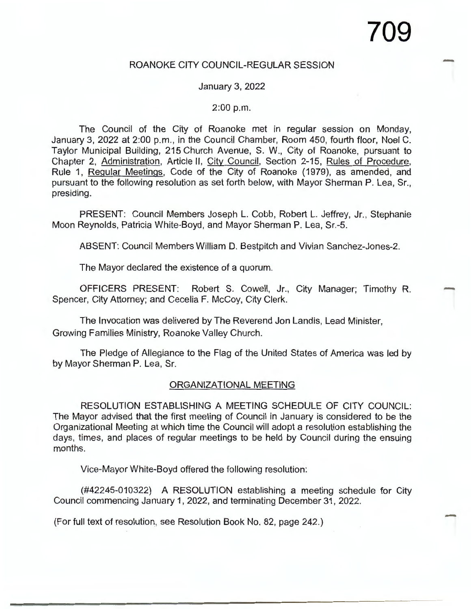## ROANOKE CITY COUNCIL-REGULAR SESSION

### January 3, 2022

#### 2:00 p.m.

The Council of the City of Roanoke met in regular session on Monday, January 3, 2022 at 2:00 p.m., in the Council Chamber, Room 450, fourth floor, Noel C. Taylor Municipal Building, 215 Church Avenue, S. W., City of Roanoke, pursuant to Chapter 2, Administration, Article II, City Council, Section 2-15, Rules of Procedure, Rule 1, Regular Meetings, Code of the City of Roanoke (1979), as amended, and pursuant to the following resolution as set forth below, with Mayor Sherman P. Lea, Sr., presiding.

PRESENT: Council Members Joseph L. Cobb, Robert L. Jeffrey, Jr., Stephanie Moon Reynolds, Patricia White-Boyd, and Mayor Sherman P. Lea, Sr.-5.

ABSENT: Council Members William D. Bestpitch and Vivian Sanchez-Jones-2.

The Mayor declared the existence of a quorum.

OFFICERS PRESENT: Robert S. Cowell, Jr., City Manager; Timothy R. Spencer, City Attorney; and Cecelia F. McCoy, City Clerk.

The Invocation was delivered by The Reverend Jon Landis, Lead Minister, Growing Families Ministry, Roanoke Valley Church.

The Pledge of Allegiance to the Flag of the United States of America was led by by Mayor Sherman P. Lea, Sr.

#### ORGANIZATIONAL MEETING

RESOLUTION ESTABLISHING A MEETING SCHEDULE OF CITY COUNCIL: The Mayor advised that the first meeting of Council in January is considered to be the Organizational Meeting at which time the Council will adopt a resolution establishing the days, times, and places of regular meetings to be held by Council during the ensuing months.

Vice-Mayor White-Boyd offered the following resolution:

(#42245-010322) A RESOLUTION establishing a meeting schedule for City Council commencing January 1, 2022, and terminating December 31, 2022.

(For full text of resolution, see Resolution Book No. 82, page 242.)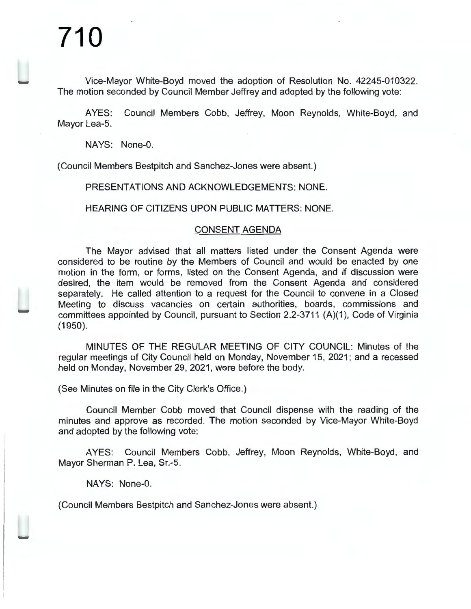Vice-Mayor White-Boyd moved the adoption of Resolution No. 42245-010322. The motion seconded by Council Member Jeffrey and adopted by the following vote:

AYES: Council Members Cobb, Jeffrey, Moon Reynolds, White-Boyd, and Mayor Lea-5.

NAYS: None-0.

(Council Members Bestpitch and Sanchez-Jones were absent.)

PRESENTATIONS AND ACKNOWLEDGEMENTS: NONE.

HEARING OF CITIZENS UPON PUBLIC MATTERS: NONE.

### CONSENT AGENDA

The Mayor advised that all matters listed under the Consent Agenda were considered to be routine by the Members of Council and would be enacted by one motion in the form, or forms, listed on the Consent Agenda, and if discussion were desired, the item would be removed from the Consent Agenda and considered separately. He called attention to a request for the Council to convene in a Closed Meeting to discuss vacancies on certain authorities, boards, commissions and committees appointed by Council, pursuant to Section 2.2-3711 (A)(1 ), Code of Virginia (1950).

MINUTES OF THE REGULAR MEETING OF CITY COUNCIL: Minutes of the regular meetings of City Council held on Monday, November 15, 2021; and a recessed held on Monday, November 29, 2021, were before the body.

(See Minutes on file in the City Clerk's Office.)

Council Member Cobb moved that Council dispense with the reading of the minutes and approve as recorded. The motion seconded by Vice-Mayor White-Boyd and adopted by the following vote:

AYES: Council Members Cobb, Jeffrey, Moon Reynolds, White-Boyd, and Mayor Sherman P. Lea, Sr.-5.

NAYS: None-0.

(Council Members Bestpitch and Sanchez-Jones were absent.)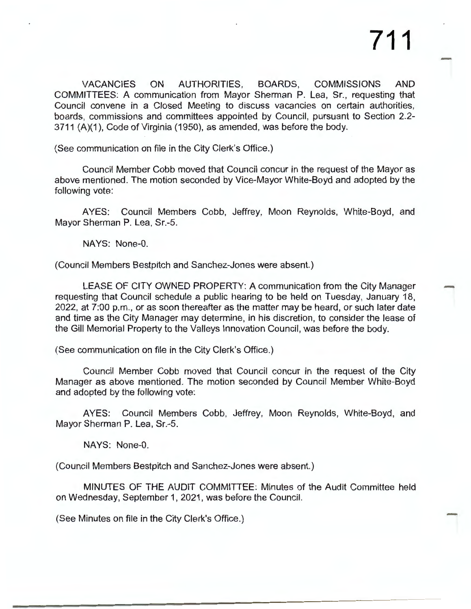VACANCIES ON AUTHORITIES, BOARDS, COMMISSIONS AND COMMITTEES: A communication from Mayor Sherman **P.** Lea, Sr., requesting that Council convene in a Closed Meeting to discuss vacancies on certain authorities, boards, commissions and committees appointed by Council, pursuant to Section 2.2- 3711 (A)(1 ), Code of Virginia (1950), as amended, was before the body.

(See communication on file in the City Clerk's Office.)

Council Member Cobb moved that Council concur in the request of the Mayor as above mentioned. The motion seconded by Vice-Mayor White-Boyd and adopted by the following vote:

AYES: Council Members Cobb, Jeffrey, Moon Reynolds, White-Boyd, and Mayor Sherman P. Lea, Sr.-5.

NAYS: None-0.

(Council Members Bestpitch and Sanchez-Jones were absent.)

LEASE OF CITY OWNED PROPERTY: A communication from the City Manager requesting that Council schedule a public hearing to be held on Tuesday, January 18, 2022, at 7:00 p.m., or as soon thereafter as the matter may be heard, or such later date and time as the City Manager may determine, in his discretion, to consider the lease of the Gill Memorial Property to the Valleys Innovation Council, was before the body.

(See communication on file in the City Clerk's Office.)

Council Member Cobb moved that Council concur in the request of the City Manager as above mentioned. The motion seconded by Council Member White-Boyd and adopted by the following vote:

AYES: Council Members Cobb, Jeffrey, Moon Reynolds, White-Boyd, and Mayor Sherman **P.** Lea, Sr.-5.

**NAYS:** None-0.

(Council Members Bestpitch and Sanchez-Jones were absent.)

MINUTES OF THE AUDIT COMMITTEE: Minutes of the Audit Committee held on Wednesday, September 1, 2021 , was before the Council.

(See Minutes on file in the City Clerk's Office.)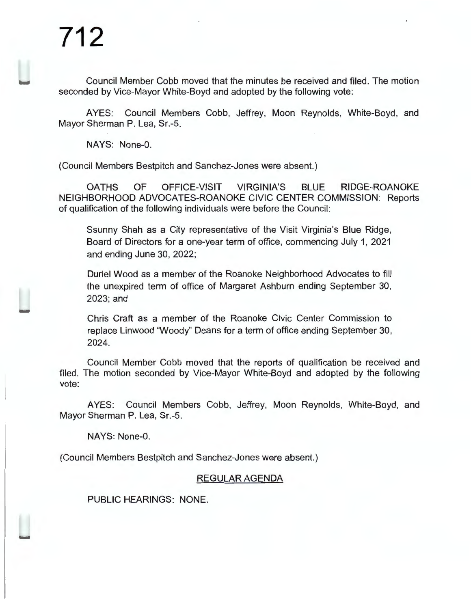Council Member Cobb moved that the minutes be received and filed. The motion seconded by Vice-Mayor White-Boyd and adopted by the following vote:

AYES: Council Members Cobb, Jeffrey, Moon Reynolds, White-Boyd, and Mayor Sherman P. Lea, Sr.-5.

NAYS: None-0.

(Council Members Bestpitch and Sanchez-Jones were absent.)

OATHS OF OFFICE-VISIT VIRGINIA'S BLUE RIDGE-ROANOKE NEIGHBORHOOD ADVOCATES-ROANOKE CIVIC CENTER COMMISSION: Reports of qualification of the following individuals were before the Council:

Ssunny Shah as a City representative of the Visit Virginia's Blue Ridge, Board of Directors for a one-year term of office, commencing July 1, 2021 and ending June 30, 2022;

Duriel Wood as a member of the Roanoke Neighborhood Advocates to fill the unexpired term of office of Margaret Ashburn ending September 30, 2023;and

Chris Craft as a member of the Roanoke Civic Center Commission to replace Linwood "Woody" Deans for a term of office ending September 30, 2024.

Council Member Cobb moved that the reports of qualification be received and filed. The motion seconded by Vice-Mayor White-Boyd and adopted by the following vote:

AYES: Council Members Cobb, Jeffrey, Moon Reynolds, White-Boyd, and Mayor Sherman P. Lea, Sr.-5.

NAYS: None-0.

(Council Members Bestpitch and Sanchez-Jones were absent.)

## REGULAR AGENDA

PUBLIC HEARINGS: NONE.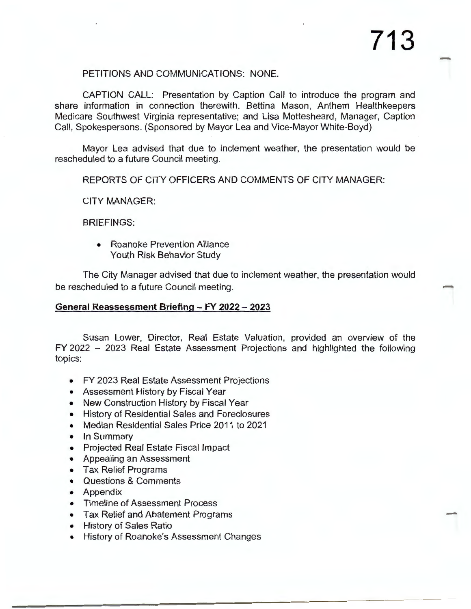## PETITIONS AND COMMUNICATIONS: NONE.

CAPTION CALL: Presentation by Caption Call to introduce the program and share information in connection therewith. Bettina Mason, Anthem Healthkeepers Medicare Southwest Virginia representative; and Lisa Mottesheard, Manager, Caption Call, Spokespersons. (Sponsored by Mayor Lea and Vice-Mayor White-Boyd)

Mayor Lea advised that due to inclement weather, the presentation would be rescheduled to a future Council meeting.

REPORTS OF CITY OFFICERS AND COMMENTS OF CITY MANAGER:

CITY MANAGER:

BRIEFINGS:

• Roanoke Prevention Alliance Youth Risk Behavior Study

The City Manager advised that due to inclement weather, the presentation would be rescheduled to a future Council meeting.

### **General Reassessment Briefing - FY 2022 - 2023**

Susan Lower, Director, Real Estate Valuation, provided an overview of the FY 2022 - 2023 Real Estate Assessment Projections and highlighted the following topics:

- FY 2023 Real Estate Assessment Projections
- Assessment History by Fiscal Year
- New Construction History by Fiscal Year
- History of Residential Sales and Foreclosures
- Median Residential Sales Price 2011 to 2021
- In Summary
- Projected Real Estate Fiscal Impact
- Appealing an Assessment
- Tax Relief Programs
- Questions & Comments
- Appendix
- Timeline of Assessment Process
- Tax Relief and Abatement Programs
- History of Sales Ratio
- History of Roanoke's Assessment Changes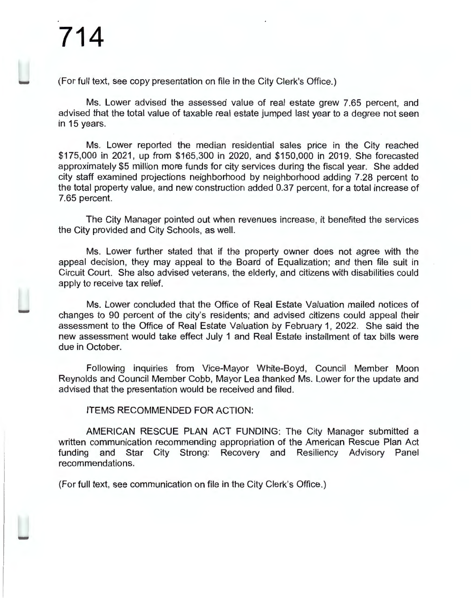(For full text, see copy presentation on file in the City Clerk's Office.)

Ms. Lower advised the assessed value of real estate grew 7.65 percent, and advised that the total value of taxable real estate jumped last year to a degree not seen in 15 years.

Ms. Lower reported the median residential sales price in the City reached \$175,000 in 2021, up from \$165,300 in 2020, and \$150,000 in 2019. She forecasted approximately \$5 million more funds for city services during the fiscal year. She added city staff examined projections neighborhood by neighborhood adding 7.28 percent to the total property value, and new construction added 0.37 percent, for a total increase of 7.65 percent.

The City Manager pointed out when revenues increase, it benefited the services the City provided and City Schools, as well.

Ms. Lower further stated that if the property owner does not agree with the appeal decision, they may appeal to the Board of Equalization; and then file suit in Circuit Court. She also advised veterans, the elderly, and citizens with disabilities could apply to receive tax relief.

Ms. Lower concluded that the Office of Real Estate Valuation mailed notices of changes to 90 percent of the city's residents; and advised citizens could appeal their assessment to the Office of Real Estate Valuation by February 1, 2022. She said the new assessment would take effect July 1 and Real Estate installment of tax bills were due in October.

Following inquiries from Vice-Mayor White-Boyd, Council Member Moon Reynolds and Council Member Cobb, Mayor Lea thanked Ms. Lower for the update and advised that the presentation would be received and filed.

### ITEMS RECOMMENDED FOR ACTION:

AMERICAN RESCUE PLAN ACT FUNDING: The City Manager submitted a written communication recommending appropriation of the American Rescue Plan Act funding and Star City Strong: Recovery and Resiliency Advisory Panel recommendations.

(For full text, see communication on file in the City Clerk's Office.)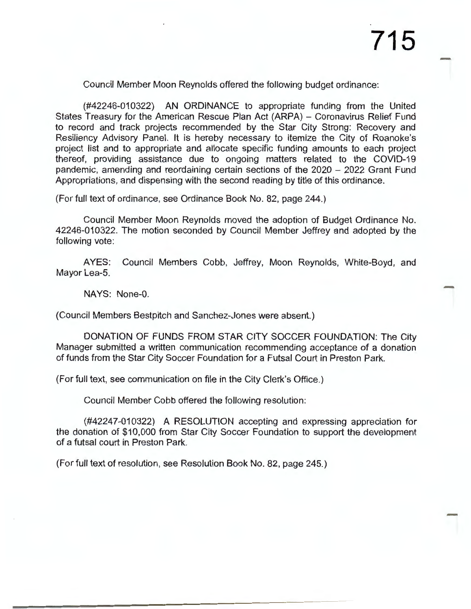Council Member Moon Reynolds offered the following budget ordinance:

(#42246-010322) AN ORDINANCE to appropriate funding from the United States Treasury for the American Rescue Plan Act (ARPA) - Coronavirus Relief Fund to record and track projects recommended by the Star City Strong: Recovery and Resiliency Advisory Panel. It is hereby necessary to itemize the City of Roanoke's project list and to appropriate and allocate specific funding amounts to each project thereof, providing assistance due to ongoing matters related to the COVID-19 pandemic, amending and reordaining certain sections of the 2020 - 2022 Grant Fund Appropriations, and dispensing with the second reading by title of this ordinance.

(For full text of ordinance, see Ordinance Book No. 82, page 244.)

Council Member Moon Reynolds moved the adoption of Budget Ordinance No. 42246-010322. The motion seconded by Council Member Jeffrey and adopted by the following vote:

AYES: Council Members Cobb, Jeffrey, Moon Reynolds, White-Boyd, and Mayor Lea-5.

NAYS: None-0.

(Council Members Bestpitch and Sanchez-Jones were absent.)

DONATION OF FUNDS FROM STAR CITY SOCCER FOUNDATION: The City Manager submitted a written communication recommending acceptance of a donation of funds from the Star City Soccer Foundation for a Futsal Court in Preston Park.

(For full text, see communication on file in the City Clerk's Office.)

Council Member Cobb offered the following resolution:

(#42247-010322) A RESOLUTION accepting and expressing appreciation for the donation of \$10,000 from Star City Soccer Foundation to support the development of a futsal court in Preston Park.

(For full text of resolution, see Resolution Book No. 82, page 245.)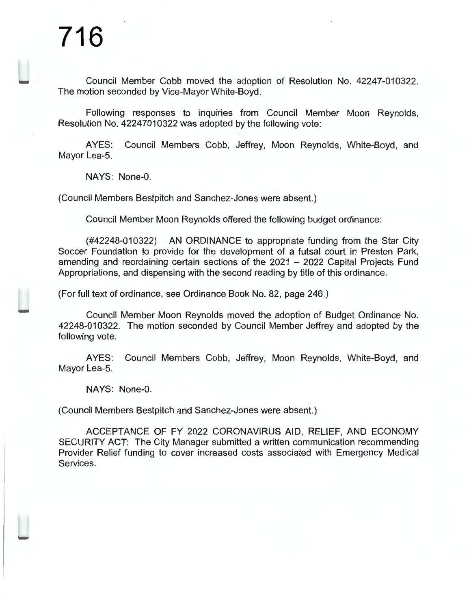Council Member Cobb moved the adoption of Resolution No. 42247-010322. The motion seconded by Vice-Mayor White-Boyd.

Following responses to inquiries from Council Member Moon Reynolds, Resolution No. 42247010322 was adopted by the following vote:

AYES: Council Members Cobb, Jeffrey, Moon Reynolds, White-Boyd, and Mayor Lea-5.

**NAYS:** None-0.

(Council Members Bestpitch and Sanchez-Jones were absent.)

Council Member Moon Reynolds offered the following budget ordinance:

(#42248-010322) AN ORDINANCE to appropriate funding from the Star City Soccer Foundation to provide for the development of a futsal court in Preston Park, amending and reordaining certain sections of the 2021 - 2022 Capital Projects Fund Appropriations, and dispensing with the second reading by title of this ordinance.

(For full text of ordinance, see Ordinance Book No. 82, page 246.)

Council Member Moon Reynolds moved the adoption of Budget Ordinance No. 42248-010322. The motion seconded by Council Member Jeffrey and adopted by the following vote:

AYES: Council Members Cobb, Jeffrey, Moon Reynolds, White-Boyd, and Mayor Lea-5.

NAYS: None-0.

(Council Members Bestpitch and Sanchez-Jones were absent.)

ACCEPTANCE OF FY 2022 CORONAVIRUS AID, RELIEF, AND ECONOMY SECURITY ACT: The City Manager submitted a written communication recommending Provider Relief funding to cover increased costs associated with Emergency Medical Services.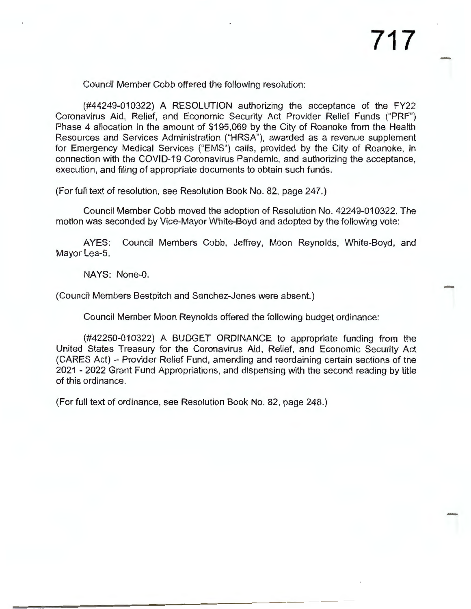Council Member Cobb offered the following resolution:

(#44249-010322) A RESOLUTION authorizing the acceptance of the FY22 Coronavirus Aid, Relief, and Economic Security Act Provider Relief Funds ("PRF") Phase 4 allocation in the amount of \$195,069 by the City of Roanoke from the Health Resources and Services Administration ("HRSA"), awarded as a revenue supplement for Emergency Medical Services ("EMS") calls, provided by the City of Roanoke, in connection with the COVID-19 Coronavirus Pandemic, and authorizing the acceptance, execution, and filing of appropriate documents to obtain such funds.

(For full text of resolution, see Resolution Book No. 82, page 247.)

Council Member Cobb moved the adoption of Resolution No. 42249-010322. The motion was seconded by Vice-Mayor White-Boyd and adopted by the following vote:

AYES: Council Members Cobb, Jeffrey, Moon Reynolds, White-Boyd, and Mayor Lea-5.

NAYS: None-0.

(Council Members Bestpitch and Sanchez-Jones were absent.)

Council Member Moon Reynolds offered the following budget ordinance:

(#42250-010322) A BUDGET ORDINANCE to appropriate funding from the United States Treasury for the Coronavirus Aid, Relief, and Economic Security Act (CARES Act) - Provider Relief Fund, amending and reordaining certain sections of the 2021 - 2022 Grant Fund Appropriations, and dispensing with the second reading by title of this ordinance.

(For full text of ordinance, see Resolution Book No. 82, page 248.)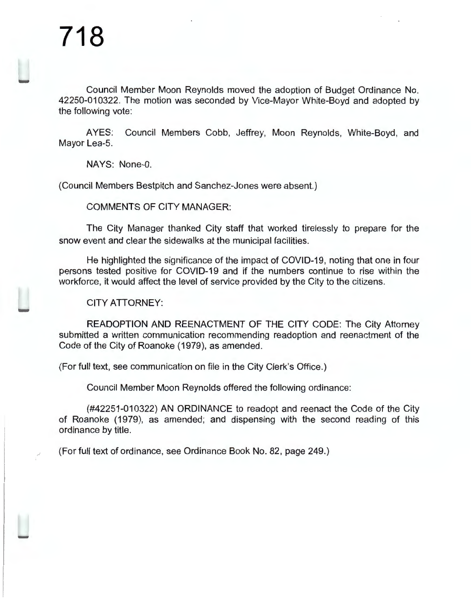Council Member Moon Reynolds moved the adoption of Budget Ordinance No. 42250-010322. The motion was seconded by Vice-Mayor White-Boyd and adopted by the following vote:

AYES: Council Members Cobb, Jeffrey, Moon Reynolds, White-Boyd, and Mayor Lea-5.

**NAYS:** None-0.

(Council Members Bestpitch and Sanchez-Jones were absent.)

COMMENTS OF CITY MANAGER:

The City Manager thanked City staff that worked tirelessly to prepare for the snow event and clear the sidewalks at the municipal facilities.

He highlighted the significance of the impact of COVID-19, noting that one in four persons tested positive for COVID-19 and if the numbers continue to rise within the workforce, it would affect the level of service provided by the City to the citizens.

CITY ATTORNEY:

READOPTION AND REENACTMENT OF THE CITY CODE: The City Attorney submitted a written communication recommending readoption and reenactment of the Code of the City of Roanoke (1979), as amended.

(For full text, see communication on file in the City Clerk's Office.)

Council Member Moon Reynolds offered the following ordinance:

(#42251-010322) AN ORDINANCE to readopt and reenact the Code of the City of Roanoke (1979), as amended; and dispensing with the second reading of this ordinance by title.

(For full text of ordinance, see Ordinance Book No. 82, page 249.)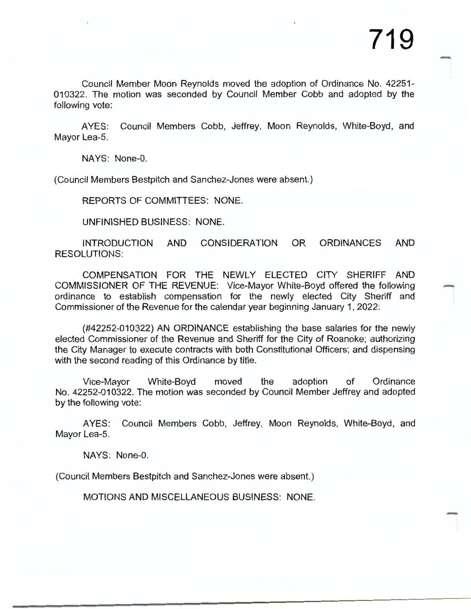Council Member Moon Reynolds moved the adoption of Ordinance No. 42251- 010322. The motion was seconded by Council Member Cobb and adopted by the following vote:

AYES: Council Members Cobb, Jeffrey, Moon Reynolds, White-Boyd, and Mayor Lea-5.

NAYS: None-0.

(Council Members Bestpitch and Sanchez-Jones were absent.)

REPORTS OF COMMITTEES: NONE.

UNFINISHED BUSINESS: NONE.

INTRODUCTION AND CONSIDERATION OR ORDINANCES AND RESOLUTIONS:

COMPENSATION FOR THE NEWLY ELECTED CITY SHERIFF AND COMMISSIONER OF THE REVENUE: Vice-Mayor White-Boyd offered the following ordinance to establish compensation for the newly elected City Sheriff and Commissioner of the Revenue for the calendar year beginning January 1, 2022:

(#42252-010322) AN ORDINANCE establishing the base salaries for the newly elected Commissioner of the Revenue and Sheriff for the City of Roanoke; authorizing the City Manager to execute contracts with both Constitutional Officers; and dispensing with the second reading of this Ordinance by title.

Vice-Mayor White-Boyd moved the adoption of Ordinance No. 42252-010322. The motion was seconded by Council Member Jeffrey and adopted by the following vote:

AYES: Council Members Cobb, Jeffrey, Moon Reynolds, White-Boyd, and Mayor Lea-5.

NAYS: None-0.

(Council Members Bestpitch and Sanchez-Jones were absent.)

MOTIONS AND MISCELLANEOUS BUSINESS: NONE.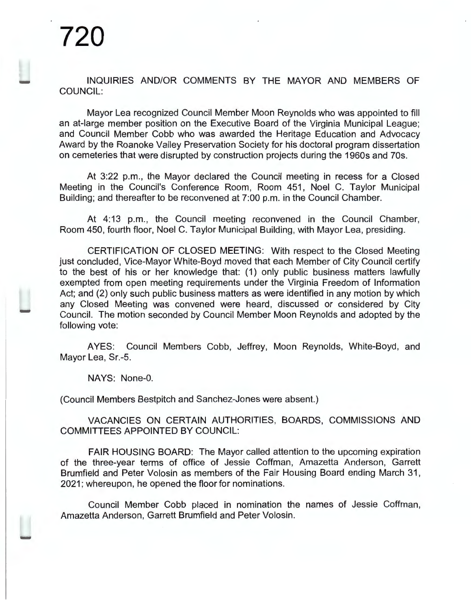INQUIRIES AND/OR COMMENTS BY THE MAYOR AND MEMBERS OF COUNCIL:

Mayor Lea recognized Council Member Moon Reynolds who was appointed to fill an at-large member position on the Executive Board of the Virginia Municipal League; and Council Member Cobb who was awarded the Heritage Education and Advocacy Award by the Roanoke Valley Preservation Society for his doctoral program dissertation on cemeteries that were disrupted by construction projects during the 1960s and ?Os.

At 3:22 p.m. , the Mayor declared the Council meeting in recess for a Closed Meeting in the Council's Conference Room, Room 451 , Noel C. Taylor Municipal Building; and thereafter to be reconvened at 7:00 p.m. in the Council Chamber.

At 4:13 p.m., the Council meeting reconvened in the Council Chamber, Room 450, fourth floor, Noel C. Taylor Municipal Building, with Mayor Lea, presiding.

CERTIFICATION OF CLOSED MEETING: With respect to the Closed Meeting just concluded, Vice-Mayor White-Boyd moved that each Member of City Council certify to the best of his or her knowledge that: (1) only public business matters lawfully exempted from open meeting requirements under the Virginia Freedom of Information Act; and (2) only such public business matters as were identified in any motion by which any Closed Meeting was convened were heard, discussed or considered by City Council. The motion seconded by Council Member Moon Reynolds and adopted by the following vote:

AYES: Council Members Cobb, Jeffrey, Moon Reynolds, White-Boyd, and Mayor Lea, Sr.-5.

NAYS: None-0.

(Council Members Bestpitch and Sanchez-Jones were absent.)

VACANCIES ON CERTAIN AUTHORITIES, BOARDS, COMMISSIONS AND COMMITTEES APPOINTED BY COUNCIL:

FAIR HOUSING BOARD: The Mayor called attention to the upcoming expiration of the three-year terms of office of Jessie Coffman, Amazetta Anderson, Garrett Brumfield and Peter Volosin as members of the Fair Housing Board ending March 31 , 2021; whereupon, he opened the floor for nominations.

Council Member Cobb placed in nomination the names of Jessie Coffman, Amazetta Anderson, Garrett Brumfield and Peter Volosin.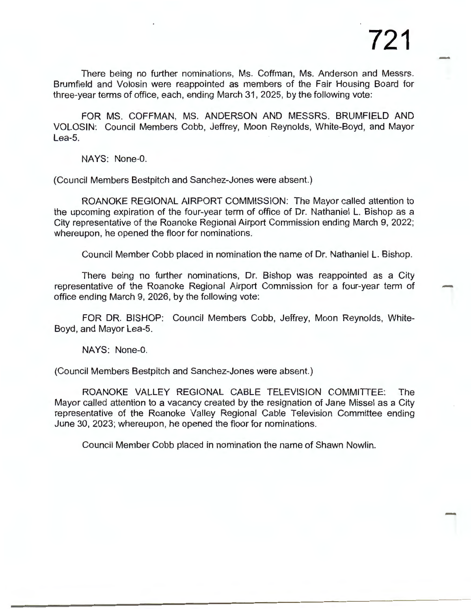There being no further nominations, Ms. Coffman, Ms. Anderson and Messrs. Brumfield and Volosin were reappointed as members of the Fair Housing Board for three-year terms of office, each, ending March 31, 2025, by the following vote:

FOR MS. COFFMAN, MS. ANDERSON AND MESSRS. BRUMFIELD AND VOLOSIN: Council Members Cobb, Jeffrey, Moon Reynolds, White-Boyd, and Mayor Lea-5.

NAYS: None-0.

(Council Members Bestpitch and Sanchez-Jones were absent.)

ROANOKE REGIONAL AIRPORT COMMISSION: The Mayor called attention to the upcoming expiration of the four-year term of office of Dr. Nathaniel L. Bishop as a City representative of the Roanoke Regional Airport Commission ending March 9, 2022; whereupon, he opened the floor for nominations.

Council Member Cobb placed in nomination the name of Dr. Nathaniel L. Bishop.

There being no further nominations, Dr. Bishop was reappointed as a City representative of the Roanoke Regional Airport Commission for a four-year term of office ending March 9, 2026, by the following vote:

FOR DR. BISHOP: Council Members Cobb, Jeffrey, Moon Reynolds, White-Boyd, and Mayor Lea-5.

NAYS: None-0.

(Council Members Bestpitch and Sanchez-Jones were absent.)

ROANOKE VALLEY REGIONAL CABLE TELEVISION COMMITTEE: The Mayor called attention to a vacancy created by the resignation of Jane Missel as a City representative of the Roanoke Valley Regional Cable Television Committee ending June 30, 2023; whereupon, he opened the floor for nominations.

Council Member Cobb placed in nomination the name of Shawn Nowlin.